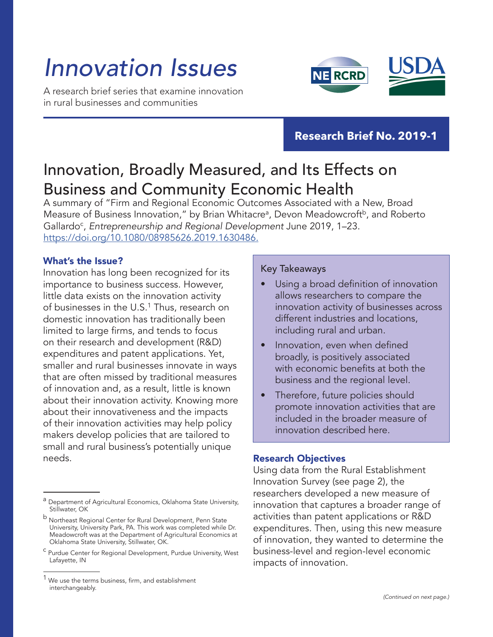# *Innovation Issues*

A research brief series that examine innovation in rural businesses and communities



### **Research Brief No. 2019-1**

## Innovation, Broadly Measured, and Its Effects on Business and Community Economic Health

A summary of "Firm and Regional Economic Outcomes Associated with a New, Broad Measure of Business Innovation," by Brian Whitacre<sup>a</sup>, Devon Meadowcroft<sup>b</sup>, and Roberto Gallardo<sup>c</sup>, Entrepreneurship and Regional Development June 2019, 1-23. https://doi.org/10.1080/08985626.2019.1630486.

#### What's the Issue?

Innovation has long been recognized for its importance to business success. However, little data exists on the innovation activity of businesses in the U.S.<sup>1</sup> Thus, research on domestic innovation has traditionally been limited to large firms, and tends to focus on their research and development (R&D) expenditures and patent applications. Yet, smaller and rural businesses innovate in ways that are often missed by traditional measures of innovation and, as a result, little is known about their innovation activity. Knowing more about their innovativeness and the impacts of their innovation activities may help policy makers develop policies that are tailored to small and rural business's potentially unique needs. **Research Objectives** 

#### Key Takeaways

- Using a broad definition of innovation allows researchers to compare the innovation activity of businesses across different industries and locations, including rural and urban.
- Innovation, even when defined broadly, is positively associated with economic benefits at both the business and the regional level.
- Therefore, future policies should promote innovation activities that are included in the broader measure of innovation described here.

Using data from the Rural Establishment Innovation Survey (see page 2), the researchers developed a new measure of innovation that captures a broader range of activities than patent applications or R&D expenditures. Then, using this new measure of innovation, they wanted to determine the business-level and region-level economic impacts of innovation.

a Department of Agricultural Economics, Oklahoma State University, Stillwater, OK

b Northeast Regional Center for Rural Development, Penn State University, University Park, PA. This work was completed while Dr. Meadowcroft was at the Department of Agricultural Economics at Oklahoma State University, Stillwater, OK.

<sup>c</sup> Purdue Center for Regional Development, Purdue University, West Lafayette, IN

We use the terms business, firm, and establishment interchangeably.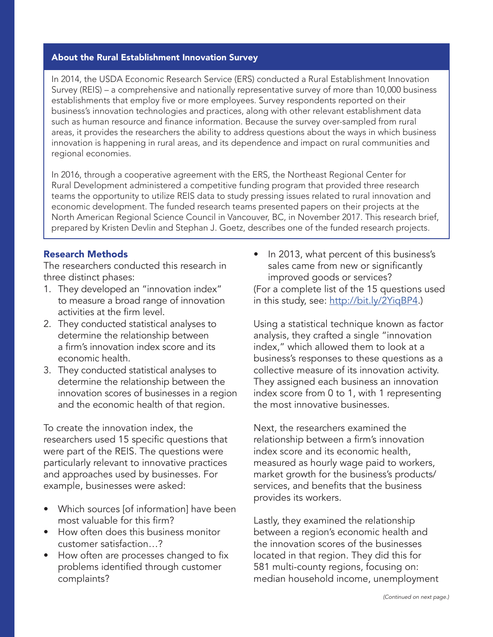#### About the Rural Establishment Innovation Survey

In 2014, the USDA Economic Research Service (ERS) conducted a Rural Establishment Innovation Survey (REIS) – a comprehensive and nationally representative survey of more than 10,000 business establishments that employ five or more employees. Survey respondents reported on their business's innovation technologies and practices, along with other relevant establishment data such as human resource and finance information. Because the survey over-sampled from rural areas, it provides the researchers the ability to address questions about the ways in which business innovation is happening in rural areas, and its dependence and impact on rural communities and regional economies.

In 2016, through a cooperative agreement with the ERS, the Northeast Regional Center for Rural Development administered a competitive funding program that provided three research teams the opportunity to utilize REIS data to study pressing issues related to rural innovation and economic development. The funded research teams presented papers on their projects at the North American Regional Science Council in Vancouver, BC, in November 2017. This research brief, prepared by Kristen Devlin and Stephan J. Goetz, describes one of the funded research projects.

#### Research Methods

The researchers conducted this research in three distinct phases:

- 1. They developed an "innovation index" to measure a broad range of innovation activities at the firm level.
- 2. They conducted statistical analyses to determine the relationship between a firm's innovation index score and its economic health.
- 3. They conducted statistical analyses to determine the relationship between the innovation scores of businesses in a region and the economic health of that region.

To create the innovation index, the researchers used 15 specific questions that were part of the REIS. The questions were particularly relevant to innovative practices and approaches used by businesses. For example, businesses were asked:

- Which sources [of information] have been most valuable for this firm?
- How often does this business monitor customer satisfaction…?
- How often are processes changed to fix problems identified through customer complaints?

• In 2013, what percent of this business's sales came from new or significantly improved goods or services? (For a complete list of the 15 questions used in this study, see:<http://bit.ly/2YiqBP4>.)

Using a statistical technique known as factor analysis, they crafted a single "innovation index," which allowed them to look at a business's responses to these questions as a collective measure of its innovation activity. They assigned each business an innovation index score from 0 to 1, with 1 representing the most innovative businesses.

Next, the researchers examined the relationship between a firm's innovation index score and its economic health, measured as hourly wage paid to workers, market growth for the business's products/ services, and benefits that the business provides its workers.

Lastly, they examined the relationship between a region's economic health and the innovation scores of the businesses located in that region. They did this for 581 multi-county regions, focusing on: median household income, unemployment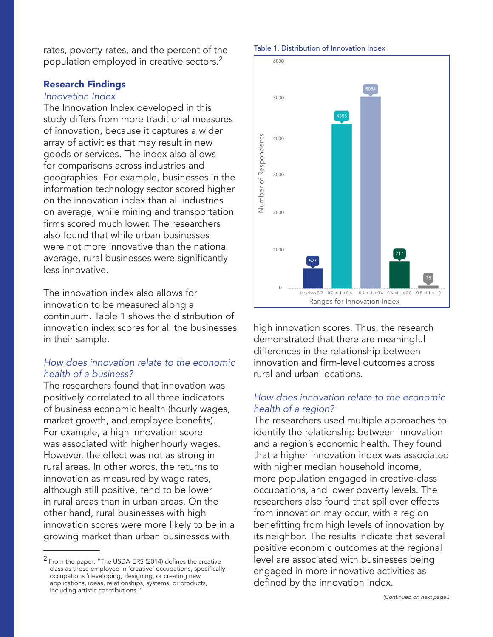rates, poverty rates, and the percent of the population employed in creative sectors.2

#### Research Findings

#### *Innovation Index*

The Innovation Index developed in this study differs from more traditional measures of innovation, because it captures a wider array of activities that may result in new goods or services. The index also allows for comparisons across industries and geographies. For example, businesses in the information technology sector scored higher on the innovation index than all industries on average, while mining and transportation firms scored much lower. The researchers also found that while urban businesses were not more innovative than the national average, rural businesses were significantly less innovative.

The innovation index also allows for innovation to be measured along a continuum. Table 1 shows the distribution of innovation index scores for all the businesses in their sample.

#### *How does innovation relate to the economic health of a business?*

The researchers found that innovation was positively correlated to all three indicators of business economic health (hourly wages, market growth, and employee benefits). For example, a high innovation score was associated with higher hourly wages. However, the effect was not as strong in rural areas. In other words, the returns to innovation as measured by wage rates, although still positive, tend to be lower in rural areas than in urban areas. On the other hand, rural businesses with high innovation scores were more likely to be in a growing market than urban businesses with

#### Table 1. Distribution of Innovation Index



high innovation scores. Thus, the research demonstrated that there are meaningful differences in the relationship between innovation and firm-level outcomes across rural and urban locations.

#### *How does innovation relate to the economic health of a region?*

The researchers used multiple approaches to identify the relationship between innovation and a region's economic health. They found that a higher innovation index was associated with higher median household income, more population engaged in creative-class occupations, and lower poverty levels. The researchers also found that spillover effects from innovation may occur, with a region benefitting from high levels of innovation by its neighbor. The results indicate that several positive economic outcomes at the regional level are associated with businesses being engaged in more innovative activities as defined by the innovation index.

 $2$  From the paper: "The USDA-ERS (2014) defines the creative class as those employed in 'creative' occupations, specifically occupations 'developing, designing, or creating new applications, ideas, relationships, systems, or products, including artistic contributions.